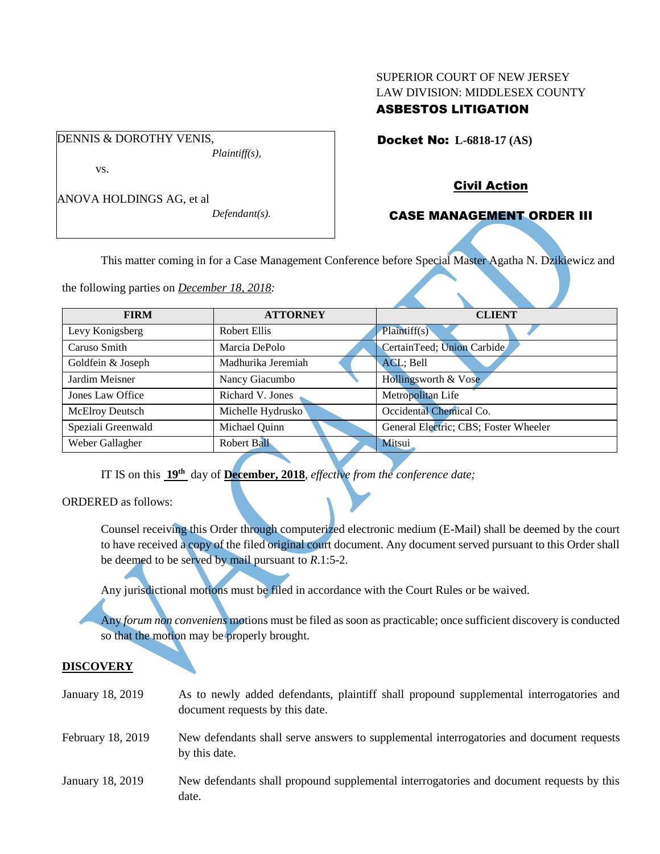## SUPERIOR COURT OF NEW JERSEY LAW DIVISION: MIDDLESEX COUNTY ASBESTOS LITIGATION

# Docket No: **L-6818-17 (AS)**

DENNIS & DOROTHY VENIS, *Plaintiff(s),* vs.

ANOVA HOLDINGS AG, et al

*Defendant(s).*

## Civil Action

## CASE MANAGEMENT ORDER III

This matter coming in for a Case Management Conference before Special Master Agatha N. Dzikiewicz and

the following parties on *December 18, 2018:*

| <b>FIRM</b>            | <b>ATTORNEY</b>                              | <b>CLIENT</b>                         |  |
|------------------------|----------------------------------------------|---------------------------------------|--|
| Levy Konigsberg        | <b>Robert Ellis</b>                          | Plaintiff(s)                          |  |
| Caruso Smith           | Marcia DePolo                                | CertainTeed; Union Carbide            |  |
| Goldfein & Joseph      | Madhurika Jeremiah                           | ACL; Bell                             |  |
| Jardim Meisner         | Nancy Giacumbo                               | Hollingsworth & Vose                  |  |
| Jones Law Office       | Richard V. Jones                             | Metropolitan Life                     |  |
| <b>McElroy Deutsch</b> | Occidental Chemical Co.<br>Michelle Hydrusko |                                       |  |
| Speziali Greenwald     | Michael Quinn                                | General Electric; CBS; Foster Wheeler |  |
| Weber Gallagher        | Robert Ball                                  | Mitsui                                |  |

IT IS on this  $19<sup>th</sup>$  day of December, 2018, *effective from the conference date*;

ORDERED as follows:

Counsel receiving this Order through computerized electronic medium (E-Mail) shall be deemed by the court to have received a copy of the filed original court document. Any document served pursuant to this Order shall be deemed to be served by mail pursuant to *R*.1:5-2.

Any jurisdictional motions must be filed in accordance with the Court Rules or be waived.

Any *forum non conveniens* motions must be filed as soon as practicable; once sufficient discovery is conducted so that the motion may be properly brought.

## **DISCOVERY**

| January 18, 2019  | As to newly added defendants, plaintiff shall propound supplemental interrogatories and<br>document requests by this date. |
|-------------------|----------------------------------------------------------------------------------------------------------------------------|
| February 18, 2019 | New defendants shall serve answers to supplemental interrogatories and document requests<br>by this date.                  |
| January 18, 2019  | New defendants shall propound supplemental interrogatories and document requests by this<br>date.                          |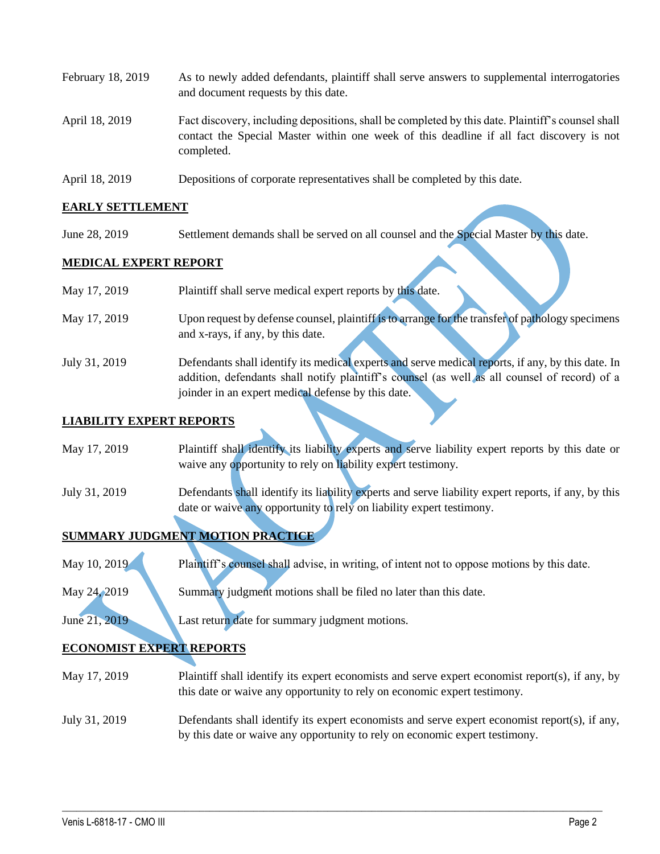- February 18, 2019 As to newly added defendants, plaintiff shall serve answers to supplemental interrogatories and document requests by this date. April 18, 2019 Fact discovery, including depositions, shall be completed by this date. Plaintiff's counsel shall contact the Special Master within one week of this deadline if all fact discovery is not completed.
- April 18, 2019 Depositions of corporate representatives shall be completed by this date.

## **EARLY SETTLEMENT**

June 28, 2019 Settlement demands shall be served on all counsel and the Special Master by this date.

#### **MEDICAL EXPERT REPORT**

| May 17, 2019  | Plaintiff shall serve medical expert reports by this date.                                        |
|---------------|---------------------------------------------------------------------------------------------------|
| May 17, 2019  | Upon request by defense counsel, plaintiff is to arrange for the transfer of pathology specimens  |
|               | and x-rays, if any, by this date.                                                                 |
| July 31, 2019 | Defendants shall identify its medical experts and serve medical reports, if any, by this date. In |
|               | addition, defendants shall notify plaintiff's counsel (as well as all counsel of record) of a     |
|               | joinder in an expert medical defense by this date.                                                |

## **LIABILITY EXPERT REPORTS**

| May 17, 2019 | Plaintiff shall identify its liability experts and serve liability expert reports by this date or |
|--------------|---------------------------------------------------------------------------------------------------|
|              | waive any opportunity to rely on liability expert testimony.                                      |

July 31, 2019 Defendants shall identify its liability experts and serve liability expert reports, if any, by this date or waive any opportunity to rely on liability expert testimony.

## **SUMMARY JUDGMENT MOTION PRACTICE**

- May 10, 2019 Plaintiff's counsel shall advise, in writing, of intent not to oppose motions by this date.
- May 24, 2019 Summary judgment motions shall be filed no later than this date.

June 21, 2019 Last return date for summary judgment motions.

# **ECONOMIST EXPERT REPORTS**

- May 17, 2019 Plaintiff shall identify its expert economists and serve expert economist report(s), if any, by this date or waive any opportunity to rely on economic expert testimony.
- July 31, 2019 Defendants shall identify its expert economists and serve expert economist report(s), if any, by this date or waive any opportunity to rely on economic expert testimony.

 $\_$  ,  $\_$  ,  $\_$  ,  $\_$  ,  $\_$  ,  $\_$  ,  $\_$  ,  $\_$  ,  $\_$  ,  $\_$  ,  $\_$  ,  $\_$  ,  $\_$  ,  $\_$  ,  $\_$  ,  $\_$  ,  $\_$  ,  $\_$  ,  $\_$  ,  $\_$  ,  $\_$  ,  $\_$  ,  $\_$  ,  $\_$  ,  $\_$  ,  $\_$  ,  $\_$  ,  $\_$  ,  $\_$  ,  $\_$  ,  $\_$  ,  $\_$  ,  $\_$  ,  $\_$  ,  $\_$  ,  $\_$  ,  $\_$  ,